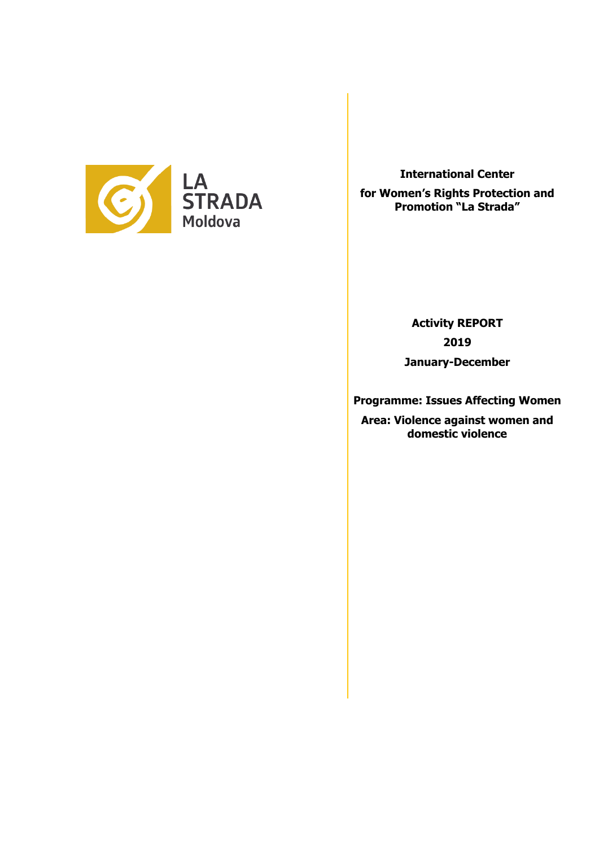

**International Center** 

**for Women's Rights Protection and Promotion "La Strada"**

> **Activity REPORT 2019 January-December**

**Programme: Issues Affecting Women**

**Area: Violence against women and domestic violence**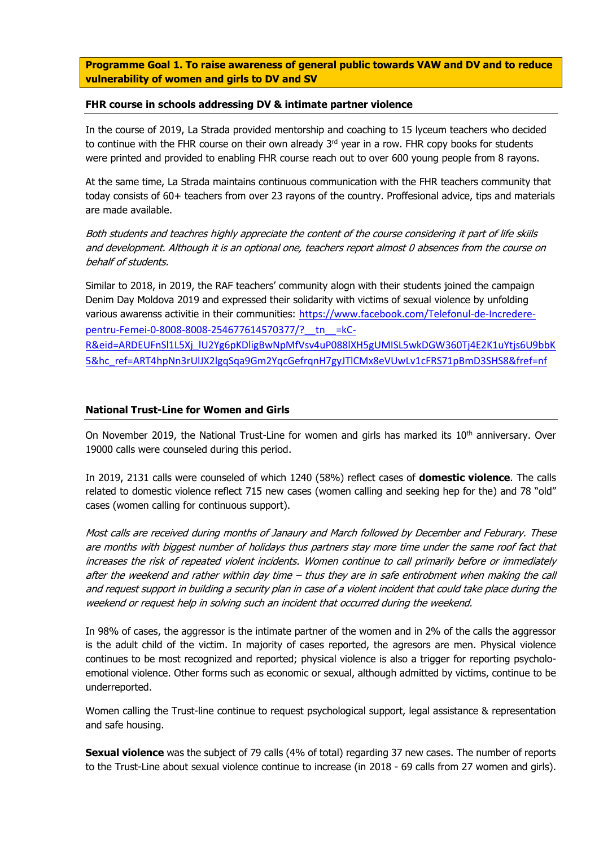**Programme Goal 1. To raise awareness of general public towards VAW and DV and to reduce vulnerability of women and girls to DV and SV**

#### **FHR course in schools addressing DV & intimate partner violence**

In the course of 2019, La Strada provided mentorship and coaching to 15 lyceum teachers who decided to continue with the FHR course on their own already  $3<sup>rd</sup>$  year in a row. FHR copy books for students were printed and provided to enabling FHR course reach out to over 600 young people from 8 rayons.

At the same time, La Strada maintains continuous communication with the FHR teachers community that today consists of 60+ teachers from over 23 rayons of the country. Proffesional advice, tips and materials are made available.

Both students and teachres highly appreciate the content of the course considering it part of life skiils and development. Although it is an optional one, teachers report almost 0 absences from the course on behalf of students.

Similar to 2018, in 2019, the RAF teachers' community alogn with their students joined the campaign Denim Day Moldova 2019 and expressed their solidarity with victims of sexual violence by unfolding various awarenss activitie in their communities: [https://www.facebook.com/Telefonul-de-Incredere](https://www.facebook.com/Telefonul-de-Incredere-pentru-Femei-0-8008-8008-254677614570377/?__tn__=kC-R&eid=ARDEUFnSl1L5Xj_lU2Yg6pKDligBwNpMfVsv4uP088lXH5gUMISL5wkDGW360Tj4E2K1uYtjs6U9bbK5&hc_ref=ART4hpNn3rUlJX2lgqSqa9Gm2YqcGefrqnH7gyJTlCMx8eVUwLv1cFRS71pBmD3SHS8&fref=nf)[pentru-Femei-0-8008-8008-254677614570377/?\\_\\_tn\\_\\_=kC-](https://www.facebook.com/Telefonul-de-Incredere-pentru-Femei-0-8008-8008-254677614570377/?__tn__=kC-R&eid=ARDEUFnSl1L5Xj_lU2Yg6pKDligBwNpMfVsv4uP088lXH5gUMISL5wkDGW360Tj4E2K1uYtjs6U9bbK5&hc_ref=ART4hpNn3rUlJX2lgqSqa9Gm2YqcGefrqnH7gyJTlCMx8eVUwLv1cFRS71pBmD3SHS8&fref=nf)[R&eid=ARDEUFnSl1L5Xj\\_lU2Yg6pKDligBwNpMfVsv4uP088lXH5gUMISL5wkDGW360Tj4E2K1uYtjs6U9bbK](https://www.facebook.com/Telefonul-de-Incredere-pentru-Femei-0-8008-8008-254677614570377/?__tn__=kC-R&eid=ARDEUFnSl1L5Xj_lU2Yg6pKDligBwNpMfVsv4uP088lXH5gUMISL5wkDGW360Tj4E2K1uYtjs6U9bbK5&hc_ref=ART4hpNn3rUlJX2lgqSqa9Gm2YqcGefrqnH7gyJTlCMx8eVUwLv1cFRS71pBmD3SHS8&fref=nf) [5&hc\\_ref=ART4hpNn3rUlJX2lgqSqa9Gm2YqcGefrqnH7gyJTlCMx8eVUwLv1cFRS71pBmD3SHS8&fref=nf](https://www.facebook.com/Telefonul-de-Incredere-pentru-Femei-0-8008-8008-254677614570377/?__tn__=kC-R&eid=ARDEUFnSl1L5Xj_lU2Yg6pKDligBwNpMfVsv4uP088lXH5gUMISL5wkDGW360Tj4E2K1uYtjs6U9bbK5&hc_ref=ART4hpNn3rUlJX2lgqSqa9Gm2YqcGefrqnH7gyJTlCMx8eVUwLv1cFRS71pBmD3SHS8&fref=nf)

### **National Trust-Line for Women and Girls**

On November 2019, the National Trust-Line for women and girls has marked its  $10<sup>th</sup>$  anniversary. Over 19000 calls were counseled during this period.

In 2019, 2131 calls were counseled of which 1240 (58%) reflect cases of **domestic violence**. The calls related to domestic violence reflect 715 new cases (women calling and seeking hep for the) and 78 "old" cases (women calling for continuous support).

Most calls are received during months of Janaury and March followed by December and Feburary. These are months with biggest number of holidays thus partners stay more time under the same roof fact that increases the risk of repeated violent incidents. Women continue to call primarily before or immediately after the weekend and rather within day time – thus they are in safe entirobment when making the call and request support in building a security plan in case of a violent incident that could take place during the weekend or request help in solving such an incident that occurred during the weekend.

In 98% of cases, the aggressor is the intimate partner of the women and in 2% of the calls the aggressor is the adult child of the victim. In majority of cases reported, the agresors are men. Physical violence continues to be most recognized and reported; physical violence is also a trigger for reporting psycholoemotional violence. Other forms such as economic or sexual, although admitted by victims, continue to be underreported.

Women calling the Trust-line continue to request psychological support, legal assistance & representation and safe housing.

**Sexual violence** was the subject of 79 calls (4% of total) regarding 37 new cases. The number of reports to the Trust-Line about sexual violence continue to increase (in 2018 - 69 calls from 27 women and girls).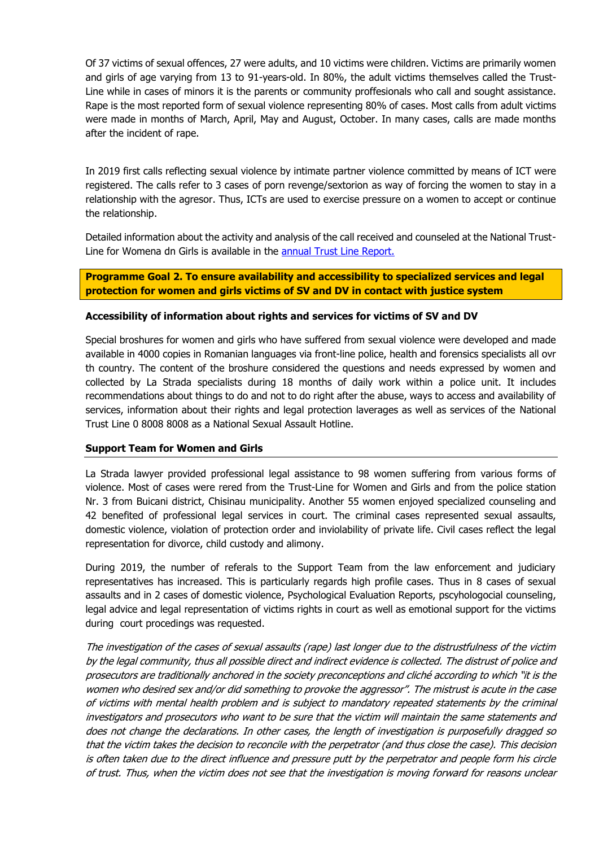Of 37 victims of sexual offences, 27 were adults, and 10 victims were children. Victims are primarily women and girls of age varying from 13 to 91-years-old. In 80%, the adult victims themselves called the Trust-Line while in cases of minors it is the parents or community proffesionals who call and sought assistance. Rape is the most reported form of sexual violence representing 80% of cases. Most calls from adult victims were made in months of March, April, May and August, October. In many cases, calls are made months after the incident of rape.

In 2019 first calls reflecting sexual violence by intimate partner violence committed by means of ICT were registered. The calls refer to 3 cases of porn revenge/sextorion as way of forcing the women to stay in a relationship with the agresor. Thus, ICTs are used to exercise pressure on a women to accept or continue the relationship.

Detailed information about the activity and analysis of the call received and counseled at the National TrustLine for Womena dn Girls is available in the [annual Trust Line Report.](http://lastrada.md/pic/uploaded/Raport%20anual%20TIFF_2019.pdf)

**Programme Goal 2. To ensure availability and accessibility to specialized services and legal protection for women and girls victims of SV and DV in contact with justice system**

### **Accessibility of information about rights and services for victims of SV and DV**

Special broshures for women and girls who have suffered from sexual violence were developed and made available in 4000 copies in Romanian languages via front-line police, health and forensics specialists all ovr th country. The content of the broshure considered the questions and needs expressed by women and collected by La Strada specialists during 18 months of daily work within a police unit. It includes recommendations about things to do and not to do right after the abuse, ways to access and availability of services, information about their rights and legal protection laverages as well as services of the National Trust Line 0 8008 8008 as a National Sexual Assault Hotline.

### **Support Team for Women and Girls**

La Strada lawyer provided professional legal assistance to 98 women suffering from various forms of violence. Most of cases were rered from the Trust-Line for Women and Girls and from the police station Nr. 3 from Buicani district, Chisinau municipality. Another 55 women enjoyed specialized counseling and 42 benefited of professional legal services in court. The criminal cases represented sexual assaults, domestic violence, violation of protection order and inviolability of private life. Civil cases reflect the legal representation for divorce, child custody and alimony.

During 2019, the number of referals to the Support Team from the law enforcement and judiciary representatives has increased. This is particularly regards high profile cases. Thus in 8 cases of sexual assaults and in 2 cases of domestic violence, Psychological Evaluation Reports, pscyhologocial counseling, legal advice and legal representation of victims rights in court as well as emotional support for the victims during court procedings was requested.

The investigation of the cases of sexual assaults (rape) last longer due to the distrustfulness of the victim by the legal community, thus all possible direct and indirect evidence is collected. The distrust of police and prosecutors are traditionally anchored in the society preconceptions and cliché according to which "it is the women who desired sex and/or did something to provoke the aggressor". The mistrust is acute in the case of victims with mental health problem and is subject to mandatory repeated statements by the criminal investigators and prosecutors who want to be sure that the victim will maintain the same statements and does not change the declarations. In other cases, the length of investigation is purposefully dragged so that the victim takes the decision to reconcile with the perpetrator (and thus close the case). This decision is often taken due to the direct influence and pressure putt by the perpetrator and people form his circle of trust. Thus, when the victim does not see that the investigation is moving forward for reasons unclear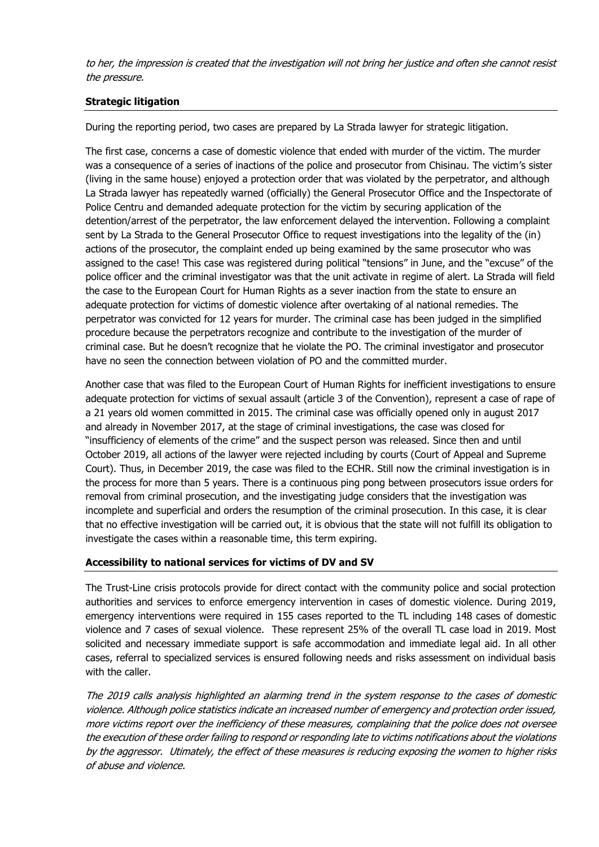to her, the impression is created that the investigation will not bring her justice and often she cannot resist the pressure.

# **Strategic litigation**

During the reporting period, two cases are prepared by La Strada lawyer for strategic litigation.

The first case, concerns a case of domestic violence that ended with murder of the victim. The murder was a consequence of a series of inactions of the police and prosecutor from Chisinau. The victim's sister (living in the same house) enjoyed a protection order that was violated by the perpetrator, and although La Strada lawyer has repeatedly warned (officially) the General Prosecutor Office and the Inspectorate of Police Centru and demanded adequate protection for the victim by securing application of the detention/arrest of the perpetrator, the law enforcement delayed the intervention. Following a complaint sent by La Strada to the General Prosecutor Office to request investigations into the legality of the (in) actions of the prosecutor, the complaint ended up being examined by the same prosecutor who was assigned to the case! This case was registered during political "tensions" in June, and the "excuse" of the police officer and the criminal investigator was that the unit activate in regime of alert. La Strada will field the case to the European Court for Human Rights as a sever inaction from the state to ensure an adequate protection for victims of domestic violence after overtaking of al national remedies. The perpetrator was convicted for 12 years for murder. The criminal case has been judged in the simplified procedure because the perpetrators recognize and contribute to the investigation of the murder of criminal case. But he doesn't recognize that he violate the PO. The criminal investigator and prosecutor have no seen the connection between violation of PO and the committed murder.

Another case that was filed to the European Court of Human Rights for inefficient investigations to ensure adequate protection for victims of sexual assault (article 3 of the Convention), represent a case of rape of a 21 years old women committed in 2015. The criminal case was officially opened only in august 2017 and already in November 2017, at the stage of criminal investigations, the case was closed for "insufficiency of elements of the crime" and the suspect person was released. Since then and until October 2019, all actions of the lawyer were rejected including by courts (Court of Appeal and Supreme Court). Thus, in December 2019, the case was filed to the ECHR. Still now the criminal investigation is in the process for more than 5 years. There is a continuous ping pong between prosecutors issue orders for removal from criminal prosecution, and the investigating judge considers that the investigation was incomplete and superficial and orders the resumption of the criminal prosecution. In this case, it is clear that no effective investigation will be carried out, it is obvious that the state will not fulfill its obligation to investigate the cases within a reasonable time, this term expiring.

# **Accessibility to national services for victims of DV and SV**

The Trust-Line crisis protocols provide for direct contact with the community police and social protection authorities and services to enforce emergency intervention in cases of domestic violence. During 2019, emergency interventions were required in 155 cases reported to the TL including 148 cases of domestic violence and 7 cases of sexual violence. These represent 25% of the overall TL case load in 2019. Most solicited and necessary immediate support is safe accommodation and immediate legal aid. In all other cases, referral to specialized services is ensured following needs and risks assessment on individual basis with the caller.

The 2019 calls analysis highlighted an alarming trend in the system response to the cases of domestic violence. Although police statistics indicate an increased number of emergency and protection order issued, more victims report over the inefficiency of these measures, complaining that the police does not oversee the execution of these order failing to respond or responding late to victims notifications about the violations by the aggressor. Utimately, the effect of these measures is reducing exposing the women to higher risks of abuse and violence.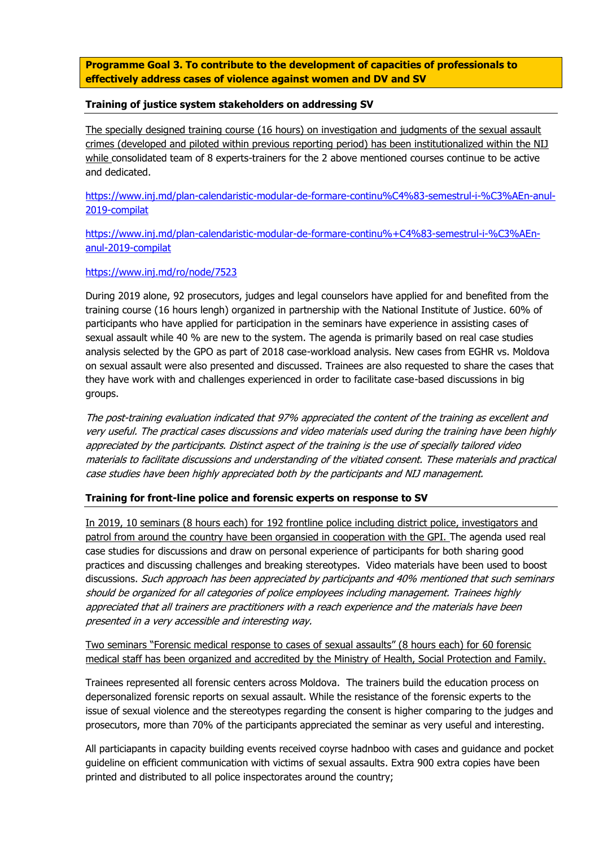**Programme Goal 3. To contribute to the development of capacities of professionals to effectively address cases of violence against women and DV and SV**

### **Training of justice system stakeholders on addressing SV**

The specially designed training course (16 hours) on investigation and judgments of the sexual assault crimes (developed and piloted within previous reporting period) has been institutionalized within the NIJ while consolidated team of 8 experts-trainers for the 2 above mentioned courses continue to be active and dedicated.

[https://www.inj.md/plan-calendaristic-modular-de-formare-continu%C4%83-semestrul-i-%C3%AEn-anul-](https://www.inj.md/plan-calendaristic-modular-de-formare-continu%C4%83-semestrul-i-%C3%AEn-anul-2019-compilat)[2019-compilat](https://www.inj.md/plan-calendaristic-modular-de-formare-continu%C4%83-semestrul-i-%C3%AEn-anul-2019-compilat)

[https://www.inj.md/plan-calendaristic-modular-de-formare-continu%+C4%83-semestrul-i-%C3%AEn](https://www.inj.md/plan-calendaristic-modular-de-formare-continu%25+C4%83-semestrul-i-%C3%AEn-anul-2019-compilat)[anul-2019-compilat](https://www.inj.md/plan-calendaristic-modular-de-formare-continu%25+C4%83-semestrul-i-%C3%AEn-anul-2019-compilat) 

### <https://www.inj.md/ro/node/7523>

During 2019 alone, 92 prosecutors, judges and legal counselors have applied for and benefited from the training course (16 hours lengh) organized in partnership with the National Institute of Justice. 60% of participants who have applied for participation in the seminars have experience in assisting cases of sexual assault while 40 % are new to the system. The agenda is primarily based on real case studies analysis selected by the GPO as part of 2018 case-workload analysis. New cases from EGHR vs. Moldova on sexual assault were also presented and discussed. Trainees are also requested to share the cases that they have work with and challenges experienced in order to facilitate case-based discussions in big groups.

The post-training evaluation indicated that 97% appreciated the content of the training as excellent and very useful. The practical cases discussions and video materials used during the training have been highly appreciated by the participants. Distinct aspect of the training is the use of specially tailored video materials to facilitate discussions and understanding of the vitiated consent. These materials and practical case studies have been highly appreciated both by the participants and NIJ management.

#### **Training for front-line police and forensic experts on response to SV**

In 2019, 10 seminars (8 hours each) for 192 frontline police including district police, investigators and patrol from around the country have been organsied in cooperation with the GPI. The agenda used real case studies for discussions and draw on personal experience of participants for both sharing good practices and discussing challenges and breaking stereotypes. Video materials have been used to boost discussions. Such approach has been appreciated by participants and 40% mentioned that such seminars should be organized for all categories of police employees including management. Trainees highly appreciated that all trainers are practitioners with a reach experience and the materials have been presented in a very accessible and interesting way.

Two seminars "Forensic medical response to cases of sexual assaults" (8 hours each) for 60 forensic medical staff has been organized and accredited by the Ministry of Health, Social Protection and Family.

Trainees represented all forensic centers across Moldova. The trainers build the education process on depersonalized forensic reports on sexual assault. While the resistance of the forensic experts to the issue of sexual violence and the stereotypes regarding the consent is higher comparing to the judges and prosecutors, more than 70% of the participants appreciated the seminar as very useful and interesting.

All particiapants in capacity building events received coyrse hadnboo with cases and guidance and pocket guideline on efficient communication with victims of sexual assaults. Extra 900 extra copies have been printed and distributed to all police inspectorates around the country;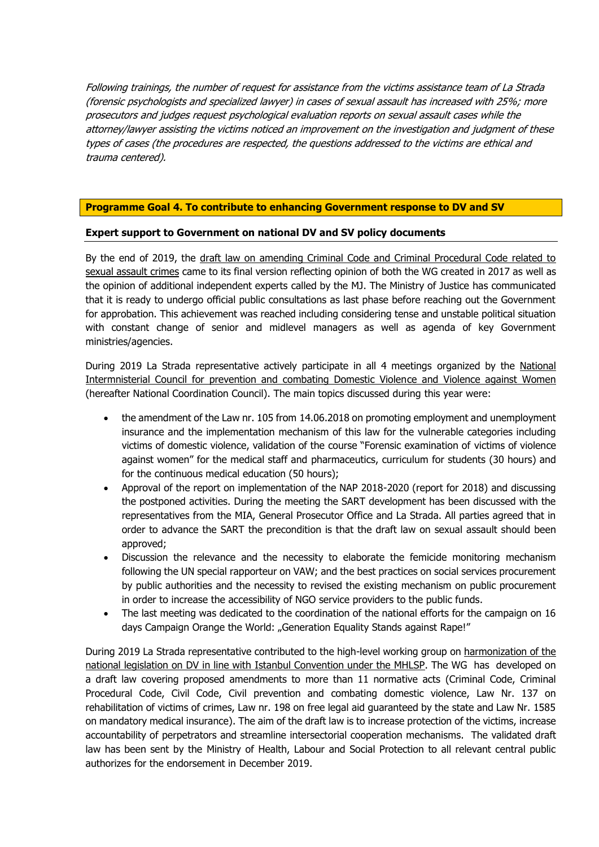Following trainings, the number of request for assistance from the victims assistance team of La Strada (forensic psychologists and specialized lawyer) in cases of sexual assault has increased with 25%; more prosecutors and judges request psychological evaluation reports on sexual assault cases while the attorney/lawyer assisting the victims noticed an improvement on the investigation and judgment of these types of cases (the procedures are respected, the questions addressed to the victims are ethical and trauma centered).

## **Programme Goal 4. To contribute to enhancing Government response to DV and SV**

## **Expert support to Government on national DV and SV policy documents**

By the end of 2019, the draft law on amending Criminal Code and Criminal Procedural Code related to sexual assault crimes came to its final version reflecting opinion of both the WG created in 2017 as well as the opinion of additional independent experts called by the MJ. The Ministry of Justice has communicated that it is ready to undergo official public consultations as last phase before reaching out the Government for approbation. This achievement was reached including considering tense and unstable political situation with constant change of senior and midlevel managers as well as agenda of key Government ministries/agencies.

During 2019 La Strada representative actively participate in all 4 meetings organized by the National Intermnisterial Council for prevention and combating Domestic Violence and Violence against Women (hereafter National Coordination Council). The main topics discussed during this year were:

- the amendment of the Law nr. 105 from 14.06.2018 on promoting employment and unemployment insurance and the implementation mechanism of this law for the vulnerable categories including victims of domestic violence, validation of the course "Forensic examination of victims of violence against women" for the medical staff and pharmaceutics, curriculum for students (30 hours) and for the continuous medical education (50 hours);
- Approval of the report on implementation of the NAP 2018-2020 (report for 2018) and discussing the postponed activities. During the meeting the SART development has been discussed with the representatives from the MIA, General Prosecutor Office and La Strada. All parties agreed that in order to advance the SART the precondition is that the draft law on sexual assault should been approved;
- Discussion the relevance and the necessity to elaborate the femicide monitoring mechanism following the UN special rapporteur on VAW; and the best practices on social services procurement by public authorities and the necessity to revised the existing mechanism on public procurement in order to increase the accessibility of NGO service providers to the public funds.
- The last meeting was dedicated to the coordination of the national efforts for the campaign on 16 days Campaign Orange the World: "Generation Equality Stands against Rape!"

During 2019 La Strada representative contributed to the high-level working group on harmonization of the national legislation on DV in line with Istanbul Convention under the MHLSP. The WG has developed on a draft law covering proposed amendments to more than 11 normative acts (Criminal Code, Criminal Procedural Code, Civil Code, Civil prevention and combating domestic violence, Law Nr. 137 on rehabilitation of victims of crimes, Law nr. 198 on free legal aid guaranteed by the state and Law Nr. 1585 on mandatory medical insurance). The aim of the draft law is to increase protection of the victims, increase accountability of perpetrators and streamline intersectorial cooperation mechanisms. The validated draft law has been sent by the Ministry of Health, Labour and Social Protection to all relevant central public authorizes for the endorsement in December 2019.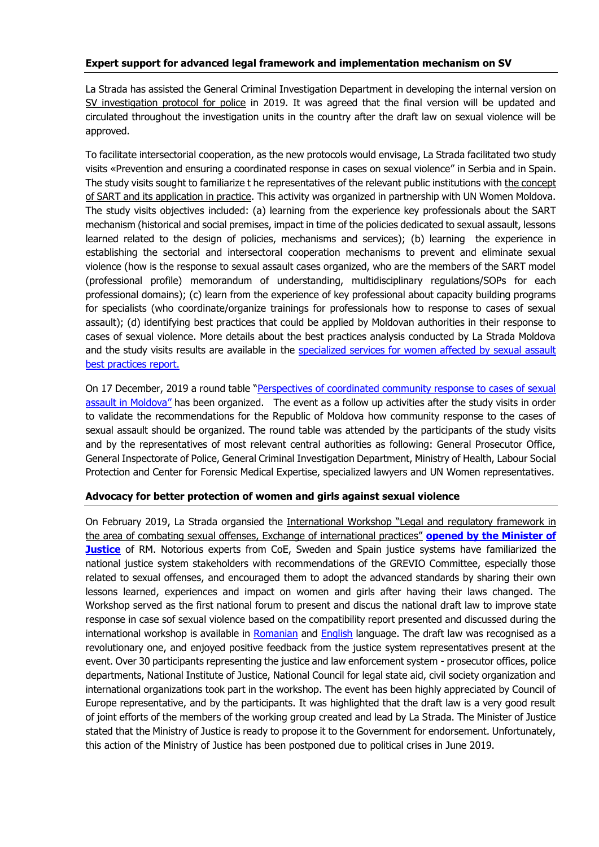## **Expert support for advanced legal framework and implementation mechanism on SV**

La Strada has assisted the General Criminal Investigation Department in developing the internal version on SV investigation protocol for police in 2019. It was agreed that the final version will be updated and circulated throughout the investigation units in the country after the draft law on sexual violence will be approved.

To facilitate intersectorial cooperation, as the new protocols would envisage, La Strada facilitated two study visits «Prevention and ensuring a coordinated response in cases on sexual violence" in Serbia and in Spain. The study visits sought to familiarize t he representatives of the relevant public institutions with the concept of SART and its application in practice. This activity was organized in partnership with UN Women Moldova. The study visits objectives included: (a) learning from the experience key professionals about the SART mechanism (historical and social premises, impact in time of the policies dedicated to sexual assault, lessons learned related to the design of policies, mechanisms and services); (b) learning the experience in establishing the sectorial and intersectoral cooperation mechanisms to prevent and eliminate sexual violence (how is the response to sexual assault cases organized, who are the members of the SART model (professional profile) memorandum of understanding, multidisciplinary regulations/SOPs for each professional domains); (c) learn from the experience of key professional about capacity building programs for specialists (who coordinate/organize trainings for professionals how to response to cases of sexual assault); (d) identifying best practices that could be applied by Moldovan authorities in their response to cases of sexual violence. More details about the best practices analysis conducted by La Strada Moldova and the study visits results are available in the [specialized services for women affected by sexual assault](http://lastrada.md/pic/uploaded/Report%20services%20for%20SVV%20in%20Europe_ENG.pdf)  [best practices report.](http://lastrada.md/pic/uploaded/Report%20services%20for%20SVV%20in%20Europe_ENG.pdf) 

On 17 December, 2019 a round table "Perspectives of coordinated community response to cases of sexual [assault in](https://www.facebook.com/ONGLaStrada/posts/2458837277722985?__xts__%5b0%5d=68.ARB6dcmzTqzxiDt9O8Zum3TT5FMbX-ATsLoFBTk2hHKUG6-I2nWDlc52bR897nGSXh1X6_chYPuTfCVXpSDMny) Moldova" has been organized. The event as a follow up activities after the study visits in order to validate the recommendations for the Republic of Moldova how community response to the cases of sexual assault should be organized. The round table was attended by the participants of the study visits and by the representatives of most relevant central authorities as following: General Prosecutor Office, General Inspectorate of Police, General Criminal Investigation Department, Ministry of Health, Labour Social Protection and Center for Forensic Medical Expertise, specialized lawyers and UN Women representatives.

# **Advocacy for better protection of women and girls against sexual violence**

On February 2019, La Strada organsied the International Workshop "Legal and regulatory framework in the area of combating sexual offenses, Exchange of international practices" **[opened by the Minister of](http://lastrada.md/eng/articles/the-national-community-of-professionals-in-investigating-and-trying-in-court-sexua-176)  [Justice](http://lastrada.md/eng/articles/the-national-community-of-professionals-in-investigating-and-trying-in-court-sexua-176)** of RM. Notorious experts from CoE, Sweden and Spain justice systems have familiarized the national justice system stakeholders with recommendations of the GREVIO Committee, especially those related to sexual offenses, and encouraged them to adopt the advanced standards by sharing their own lessons learned, experiences and impact on women and girls after having their laws changed. The Workshop served as the first national forum to present and discus the national draft law to improve state response in case sof sexual violence based on the compatibility report presented and discussed during the international workshop is available in [Romanian](http://lastrada.md/pic/uploaded/Raport%20de%20compatibilitate%20norme%20penale%20VS.pdf) and [English](http://lastrada.md/pic/uploaded/Compatibility%20Report%20SV_2018_1.pdf) language. The draft law was recognised as a revolutionary one, and enjoyed positive feedback from the justice system representatives present at the event. Over 30 participants representing the justice and law enforcement system - prosecutor offices, police departments, National Institute of Justice, National Council for legal state aid, civil society organization and international organizations took part in the workshop. The event has been highly appreciated by Council of Europe representative, and by the participants. It was highlighted that the draft law is a very good result of joint efforts of the members of the working group created and lead by La Strada. The Minister of Justice stated that the Ministry of Justice is ready to propose it to the Government for endorsement. Unfortunately, this action of the Ministry of Justice has been postponed due to political crises in June 2019.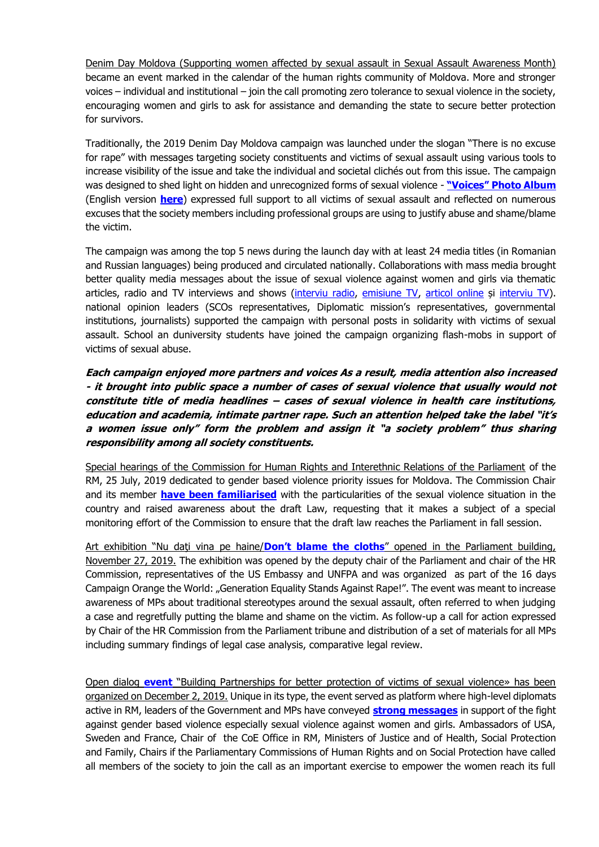Denim Day Moldova (Supporting women affected by sexual assault in Sexual Assault Awareness Month) became an event marked in the calendar of the human rights community of Moldova. More and stronger voices – individual and institutional – join the call promoting zero tolerance to sexual violence in the society, encouraging women and girls to ask for assistance and demanding the state to secure better protection for survivors.

Traditionally, the 2019 Denim Day Moldova campaign was launched under the slogan "There is no excuse for rape" with messages targeting society constituents and victims of sexual assault using various tools to increase visibility of the issue and take the individual and societal clichés out from this issue. The campaign was designed to shed light on hidden and unrecognized forms of sexual violence - **["Voices" Photo Album](https://www.facebook.com/pg/ONGLaStrada/photos/?tab=album&album_id=2275169852756396)** (English version **[here](http://lastrada.md/eng/articles/there-is-no-excuse-to-rape-la-strada-s-employees-wear-jeans-in-solidarity-with-vic-181)**) expressed full support to all victims of sexual assault and reflected on numerous excuses that the society members including professional groups are using to justify abuse and shame/blame the victim.

The campaign was among the top 5 news during the launch day with at least 24 media titles (in Romanian and Russian languages) being produced and circulated nationally. Collaborations with mass media brought better quality media messages about the issue of sexual violence against women and girls via thematic articles, radio and TV interviews and shows [\(interviu radio,](https://moldova.europalibera.org/a/ana-nani-de-ce-tac-victimele-violen%C8%9Bei-gura-lumii-%C8%99i-amenin%C8%9B%C4%83ri-din-partea-agresorilor/29901345.html) [emisiune TV,](https://www.facebook.com/watch/?v=306574573345431) [articol online](http://newsmaker.md/rus/novosti/ty-emu-zhizn-isportish-kak-v-moldove-pravoohraniteli-zashchishchayut-zhertv-seksua-43158) și [interviu TV\)](http://www.tvrmoldova.md/social/nu-exista-scuze-pentru-viol-suna-la-telefonul-de-incredere/). national opinion leaders (SCOs representatives, Diplomatic mission's representatives, governmental institutions, journalists) supported the campaign with personal posts in solidarity with victims of sexual assault. School an duniversity students have joined the campaign organizing flash-mobs in support of victims of sexual abuse.

**Each campaign enjoyed more partners and voices As a result, media attention also increased - it brought into public space a number of cases of sexual violence that usually would not constitute title of media headlines – cases of sexual violence in health care institutions, education and academia, intimate partner rape. Such an attention helped take the label "it's a women issue only" form the problem and assign it "a society problem" thus sharing responsibility among all society constituents.** 

Special hearings of the Commission for Human Rights and Interethnic Relations of the Parliament of the RM, 25 July, 2019 dedicated to gender based violence priority issues for Moldova. The Commission Chair and its member **[have been familiarised](https://www.facebook.com/plugins/post.php?href=https%3A%2F%2Fwww.facebook.com%2FONGLaStrada%2Fposts%2F2338845536388827&width=500)** with the particularities of the sexual violence situation in the country and raised awareness about the draft Law, requesting that it makes a subject of a special monitoring effort of the Commission to ensure that the draft law reaches the Parliament in fall session.

Art exhibition "Nu daţi vina pe haine/**[Don't blame the cloths](http://lastrada.md/rom/articole/hainele-purtate-de-femeile-si-fetele-care-au-trait-un-viol-reamintesc-despre-nevoi-197?fbclid=IwAR3SiJna7y9Lww8NDOPPIARXUFVJ_nyTVGr)**" opened in the Parliament building, November 27, 2019. The exhibition was opened by the deputy chair of the Parliament and chair of the HR Commission, representatives of the US Embassy and UNFPA and was organized as part of the 16 days Campaign Orange the World: "Generation Equality Stands Against Rape!". The event was meant to increase awareness of MPs about traditional stereotypes around the sexual assault, often referred to when judging a case and regretfully putting the blame and shame on the victim. As follow-up a call for action expressed by Chair of the HR Commission from the Parliament tribune and distribution of a set of materials for all MPs including summary findings of legal case analysis, comparative legal review.

Open dialog **[event](http://lastrada.md/rom/articole/ministrul-justitiei-al-rm-proiectul-de-lege-trebuie-aprobat-pentru-ca-este-favorab-202?fbclid=IwAR3SATCe7lQdMXqDRh2RhzUYDauh0rjn_s)** "Building Partnerships for better protection of victims of sexual violence» has been organized on December 2, 2019. Unique in its type, the event served as platform where high-level diplomats active in RM, leaders of the Government and MPs have conveyed **[strong messages](https://www.privesc.eu/Arhiva/89386/Eveniment-organizat-de-Centrul-International--La-Strada-Moldova---in-parteneriat-cu-Ambasada-SUA-la-Chisinau--cu-tema--Parteneriat-puternic-pentru-o-p?fbclid=IwAR0C5427lBdmFROGP7FKUrifooqobb-SNENViEyc5Jpz_OE8I3wu25P4yxo)** in support of the fight against gender based violence especially sexual violence against women and girls. Ambassadors of USA, Sweden and France, Chair of the CoE Office in RM, Ministers of Justice and of Health, Social Protection and Family, Chairs if the Parliamentary Commissions of Human Rights and on Social Protection have called all members of the society to join the call as an important exercise to empower the women reach its full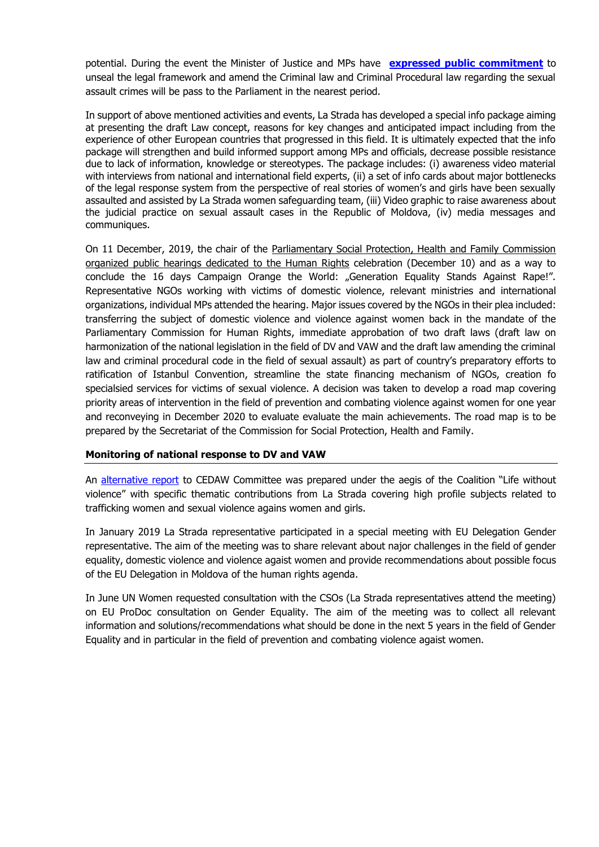potential. During the event the Minister of Justice and MPs have **[expressed public commitment](https://www.facebook.com/ONGLaStrada/photos/a.1771260723147314/2445063252433721/?type=3&theater)** to unseal the legal framework and amend the Criminal law and Criminal Procedural law regarding the sexual assault crimes will be pass to the Parliament in the nearest period.

In support of above mentioned activities and events, La Strada has developed a special info package aiming at presenting the draft Law concept, reasons for key changes and anticipated impact including from the experience of other European countries that progressed in this field. It is ultimately expected that the info package will strengthen and build informed support among MPs and officials, decrease possible resistance due to lack of information, knowledge or stereotypes. The package includes: (i) awareness video material with interviews from national and international field experts, (ii) a set of info cards about major bottlenecks of the legal response system from the perspective of real stories of women's and girls have been sexually assaulted and assisted by La Strada women safeguarding team, (iii) Video graphic to raise awareness about the judicial practice on sexual assault cases in the Republic of Moldova, (iv) media messages and communiques.

On 11 December, 2019, the chair of the Parliamentary Social Protection, Health and Family Commission organized public hearings dedicated to the Human Rights celebration (December 10) and as a way to conclude the 16 days Campaign Orange the World: "Generation Equality Stands Against Rape!". Representative NGOs working with victims of domestic violence, relevant ministries and international organizations, individual MPs attended the hearing. Major issues covered by the NGOs in their plea included: transferring the subject of domestic violence and violence against women back in the mandate of the Parliamentary Commission for Human Rights, immediate approbation of two draft laws (draft law on harmonization of the national legislation in the field of DV and VAW and the draft law amending the criminal law and criminal procedural code in the field of sexual assault) as part of country's preparatory efforts to ratification of Istanbul Convention, streamline the state financing mechanism of NGOs, creation fo specialsied services for victims of sexual violence. A decision was taken to develop a road map covering priority areas of intervention in the field of prevention and combating violence against women for one year and reconveying in December 2020 to evaluate evaluate the main achievements. The road map is to be prepared by the Secretariat of the Commission for Social Protection, Health and Family.

# **Monitoring of national response to DV and VAW**

An [alternative report](https://tbinternet.ohchr.org/_layouts/15/treatybodyexternal/Download.aspx?symbolno=INT%2fCEDAW%2fCSS%2fMDA%2f41044&Lang=en) to CEDAW Committee was prepared under the aegis of the Coalition "Life without violence" with specific thematic contributions from La Strada covering high profile subjects related to trafficking women and sexual violence agains women and girls.

In January 2019 La Strada representative participated in a special meeting with EU Delegation Gender representative. The aim of the meeting was to share relevant about najor challenges in the field of gender equality, domestic violence and violence agaist women and provide recommendations about possible focus of the EU Delegation in Moldova of the human rights agenda.

In June UN Women requested consultation with the CSOs (La Strada representatives attend the meeting) on EU ProDoc consultation on Gender Equality. The aim of the meeting was to collect all relevant information and solutions/recommendations what should be done in the next 5 years in the field of Gender Equality and in particular in the field of prevention and combating violence agaist women.